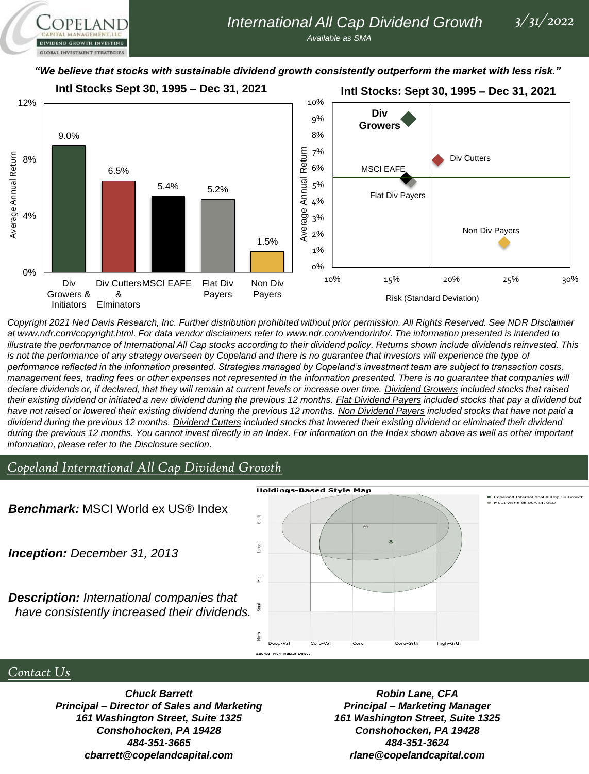**OPELAND** DIVIDEND GROWTH INVESTING **GLOBAL INVESTMENT STRATEGIES** 

### *"We believe that stocks with sustainable dividend growth consistently outperform the market with less risk."*



*Copyright 2021 Ned Davis Research, Inc. Further distribution prohibited without prior permission. All Rights Reserved. See NDR Disclaimer at www.ndr.com/copyright.html. For data vendor disclaimers refer to www.ndr.com/vendorinfo/. The information presented is intended to illustrate the performance of International All Cap stocks according to their dividend policy. Returns shown include dividends reinvested. This is not the performance of any strategy overseen by Copeland and there is no guarantee that investors will experience the type of performance reflected in the information presented. Strategies managed by Copeland's investment team are subject to transaction costs,*  management fees, trading fees or other expenses not represented in the information presented. There is no guarantee that companies will *declare dividends or, if declared, that they will remain at current levels or increase over time. Dividend Growers included stocks that raised their existing dividend or initiated a new dividend during the previous 12 months. Flat Dividend Payers included stocks that pay a dividend but*  have not raised or lowered their existing dividend during the previous 12 months. Non Dividend Payers included stocks that have not paid a *dividend during the previous 12 months. Dividend Cutters included stocks that lowered their existing dividend or eliminated their dividend*  during the previous 12 months. You cannot invest directly in an Index. For information on the Index shown above as well as other *important information, please refer to the Disclosure section.*

# *Copeland International All Cap Dividend Growth*

MSCI World ex USA NR USD *Benchmark:* MSCI World ex US® Index Giant arge *Inception: December 31, 2013* ē *Description: International companies that*  **Small** *have consistently increased their dividends.* lίm Deep-Val Core-Va Core Core-Grth High-Grth

Source: Morningstar Direct

#### **Holdings-Based Style Map**

## *Contact Us*

*Chuck Barrett Principal – Director of Sales and Marketing 161 Washington Street, Suite 1325 Conshohocken, PA 19428 484-351-3665 cbarrett@copelandcapital.com*

*Robin Lane, CFA Principal – Marketing Manager 161 Washington Street, Suite 1325 Conshohocken, PA 19428 484-351-3624 rlane@copelandcapital.com*

and International AllCapDiv Growth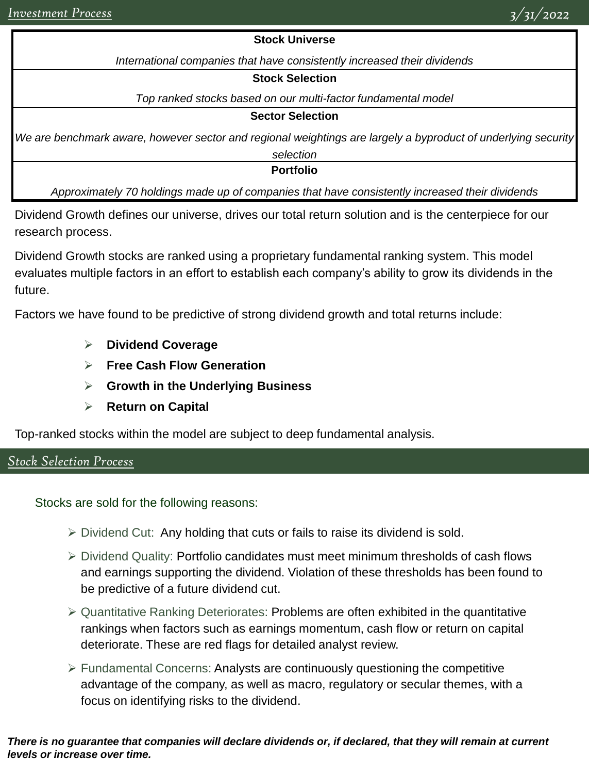### **Stock Universe**

*International companies that have consistently increased their dividends*

#### **Stock Selection**

*Top ranked stocks based on our multi-factor fundamental model*

### **Sector Selection**

*We are benchmark aware, however sector and regional weightings are largely a byproduct of underlying security* 

*selection*

**Portfolio**

*Approximately 70 holdings made up of companies that have consistently increased their dividends*

Dividend Growth defines our universe, drives our total return solution and is the centerpiece for our research process.

Dividend Growth stocks are ranked using a proprietary fundamental ranking system. This model evaluates multiple factors in an effort to establish each company's ability to grow its dividends in the future.

Factors we have found to be predictive of strong dividend growth and total returns include:

- ➢ **Dividend Coverage**
- ➢ **Free Cash Flow Generation**
- ➢ **Growth in the Underlying Business**
- ➢ **Return on Capital**

Top-ranked stocks within the model are subject to deep fundamental analysis.

# *Stock Selection Process*

Stocks are sold for the following reasons:

- $\triangleright$  Dividend Cut: Any holding that cuts or fails to raise its dividend is sold.
- ➢ Dividend Quality: Portfolio candidates must meet minimum thresholds of cash flows and earnings supporting the dividend. Violation of these thresholds has been found to be predictive of a future dividend cut.
- $\triangleright$  Quantitative Ranking Deteriorates: Problems are often exhibited in the quantitative rankings when factors such as earnings momentum, cash flow or return on capital deteriorate. These are red flags for detailed analyst review.
- $\triangleright$  Fundamental Concerns: Analysts are continuously questioning the competitive advantage of the company, as well as macro, regulatory or secular themes, with a focus on identifying risks to the dividend.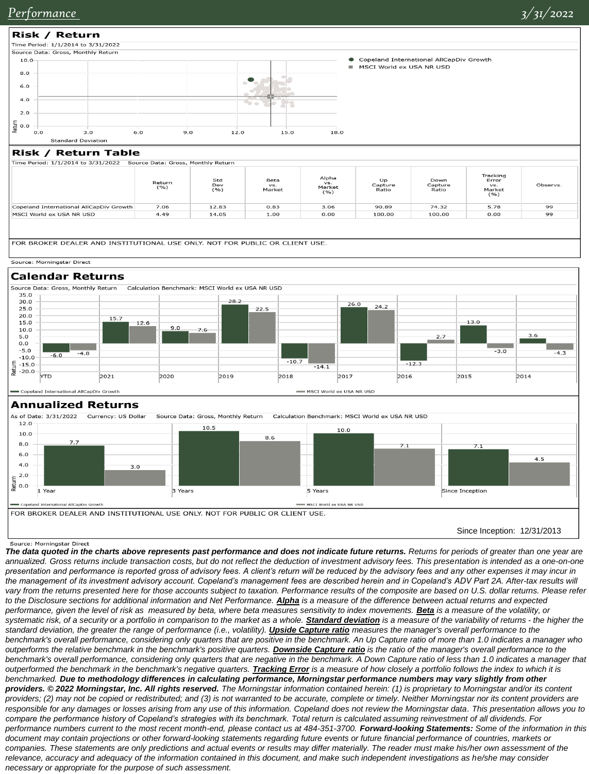

| $\frac{1}{2}$ innerenou, 1/1/2014 to 3/31/2022 3001 to Data. Gross, monthly return |               |                      |                              |                                |                        |                          |                                            |          |  |  |
|------------------------------------------------------------------------------------|---------------|----------------------|------------------------------|--------------------------------|------------------------|--------------------------|--------------------------------------------|----------|--|--|
|                                                                                    | Return<br>(%) | Std<br>Dev<br>$($ %) | <b>Beta</b><br>VS.<br>Market | Alpha<br>VS.<br>Market<br>( %) | Up<br>Capture<br>Ratio | Down<br>Capture<br>Ratio | Tracking<br>Error<br>VS.<br>Market<br>( %) | Observs. |  |  |
| Copeland International AllCapDiv Growth                                            | 7.06          | 12.83                | 0.83                         | 3.06                           | 90.89                  | 74.32                    | 5.78                                       | 99       |  |  |
| MSCI World ex USA NR USD                                                           | 4.49          | 14.05                | 1.00                         | 0.00                           | 100.00                 | 100.00                   | 0.00                                       | 99       |  |  |
|                                                                                    |               |                      |                              |                                |                        |                          |                                            |          |  |  |

FOR BROKER DEALER AND INSTITUTIONAL USE ONLY. NOT FOR PUBLIC OR CLIENT USE.



### **Calendar Returns** Source Data: Gross, Monthly Return



#### **Annualized Returns**



Source: Morningstar Direct

*The data quoted in the charts above represents past performance and does not indicate future returns. Returns for periods of greater than one year are annualized. Gross returns include transaction costs, but do not reflect the deduction of investment advisory fees. This presentation is intended as a one-on-one presentation and performance is reported gross of advisory fees. A client's return will be reduced by the advisory fees and any other expenses it may incur in the management of its investment advisory account. Copeland's management fees are described herein and in Copeland's ADV Part 2A. After-tax results will*  vary from the returns presented here for those accounts subject to taxation. Performance results of the composite are based on U.S. dollar returns. Please refer to the Disclosure sections for additional information and Net Performance. *Alpha* is a measure of the difference between actual returns and expected performance, given the level of risk as measured by beta, where beta measures sensitivity to index movements. **Beta** is a measure of the volatility, or systematic risk, of a security or a portfolio in comparison to the market as a whole. **Standard deviation** is a measure of the variability of returns - the higher the standard deviation, the greater the range of performance (i.e., volatility). *Upside Capture ratio* measures the manager's overall performance to the *benchmark's overall performance, considering only quarters that are positive in the benchmark. An Up Capture ratio of more than 1.0 indicates a manager who outperforms the relative benchmark in the benchmark's positive quarters. Downside Capture ratio is the ratio of the manager's overall performance to the benchmark's overall performance, considering only quarters that are negative in the benchmark. A Down Capture ratio of less than 1.0 indicates a manager that outperformed the benchmark in the benchmark's negative quarters. Tracking Error is a measure of how closely a portfolio follows the index to which it is benchmarked. Due to methodology differences in calculating performance, Morningstar performance numbers may vary slightly from other providers. © 2022 Morningstar, Inc. All rights reserved. The Morningstar information contained herein: (1) is proprietary to Morningstar and/or its content providers; (2) may not be copied or redistributed; and (3) is not warranted to be accurate, complete or timely. Neither Morningstar nor its content providers are responsible for any damages or losses arising from any use of this information. Copeland does not review the Morningstar data. This presentation allows you to compare the performance history of Copeland's strategies with its benchmark. Total return is calculated assuming reinvestment of all dividends. For performance numbers current to the most recent month-end, please contact us at 484-351-3700. Forward-looking Statements: Some of the information in this document may contain projections or other forward-looking statements regarding future events or future financial performance of countries, markets or*  companies. These statements are only predictions and actual events or results may differ materially. The reader must make his/her own assessment of the relevance, accuracy and adequacy of the information contained in this document, and make such independent investigations as he/she may consider *necessary or appropriate for the purpose of such assessment.*